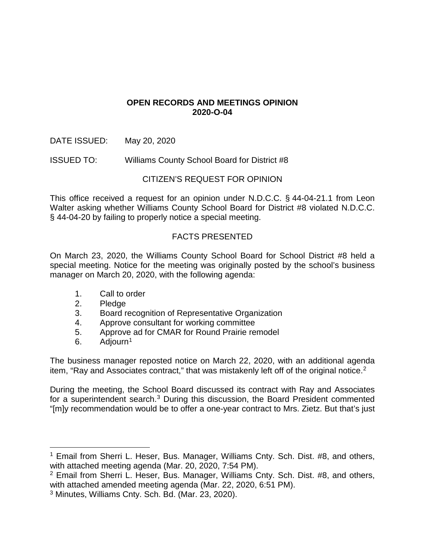## **OPEN RECORDS AND MEETINGS OPINION 2020-O-04**

DATE ISSUED: May 20, 2020

ISSUED TO: Williams County School Board for District #8

## CITIZEN'S REQUEST FOR OPINION

This office received a request for an opinion under N.D.C.C. § 44-04-21.1 from Leon Walter asking whether Williams County School Board for District #8 violated N.D.C.C. § 44-04-20 by failing to properly notice a special meeting.

# FACTS PRESENTED

On March 23, 2020, the Williams County School Board for School District #8 held a special meeting. Notice for the meeting was originally posted by the school's business manager on March 20, 2020, with the following agenda:

- 1. Call to order
- 2. Pledge
- 3. Board recognition of Representative Organization
- 4. Approve consultant for working committee
- 5. Approve ad for CMAR for Round Prairie remodel
- 6. Adiourn<sup>[1](#page-0-0)</sup>

The business manager reposted notice on March 22, 2020, with an additional agenda item, "Ray and Associates contract," that was mistakenly left off of the original notice.<sup>[2](#page-0-1)</sup>

During the meeting, the School Board discussed its contract with Ray and Associates for a superintendent search.<sup>[3](#page-0-2)</sup> During this discussion, the Board President commented "[m]y recommendation would be to offer a one-year contract to Mrs. Zietz. But that's just

<span id="page-0-0"></span><sup>&</sup>lt;sup>1</sup> Email from Sherri L. Heser, Bus. Manager, Williams Cnty. Sch. Dist. #8, and others, with attached meeting agenda (Mar. 20, 2020, 7:54 PM).

<span id="page-0-1"></span><sup>2</sup> Email from Sherri L. Heser, Bus. Manager, Williams Cnty. Sch. Dist. #8, and others, with attached amended meeting agenda (Mar. 22, 2020, 6:51 PM).

<span id="page-0-2"></span><sup>3</sup> Minutes, Williams Cnty. Sch. Bd. (Mar. 23, 2020).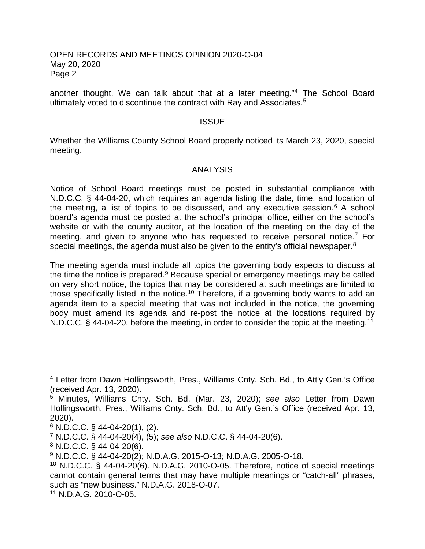#### OPEN RECORDS AND MEETINGS OPINION 2020-O-04 May 20, 2020 Page 2

another thought. We can talk about that at a later meeting."[4](#page-1-0) The School Board ultimately voted to discontinue the contract with Ray and Associates.<sup>[5](#page-1-1)</sup>

#### **ISSUE**

Whether the Williams County School Board properly noticed its March 23, 2020, special meeting.

#### ANALYSIS

Notice of School Board meetings must be posted in substantial compliance with N.D.C.C. § 44-04-20, which requires an agenda listing the date, time, and location of the meeting, a list of topics to be discussed, and any executive session.<sup>[6](#page-1-2)</sup> A school board's agenda must be posted at the school's principal office, either on the school's website or with the county auditor, at the location of the meeting on the day of the meeting, and given to anyone who has requested to receive personal notice.<sup>[7](#page-1-3)</sup> For special meetings, the agenda must also be given to the entity's official newspaper.<sup>[8](#page-1-4)</sup>

The meeting agenda must include all topics the governing body expects to discuss at the time the notice is prepared.<sup>[9](#page-1-5)</sup> Because special or emergency meetings may be called on very short notice, the topics that may be considered at such meetings are limited to those specifically listed in the notice.<sup>[10](#page-1-6)</sup> Therefore, if a governing body wants to add an agenda item to a special meeting that was not included in the notice, the governing body must amend its agenda and re-post the notice at the locations required by N.D.C.C. § 44-04-20, before the meeting, in order to consider the topic at the meeting.<sup>11</sup>

<span id="page-1-0"></span> <sup>4</sup> Letter from Dawn Hollingsworth, Pres., Williams Cnty. Sch. Bd., to Att'y Gen.'s Office (received Apr. 13, 2020).

<span id="page-1-1"></span><sup>5</sup> Minutes, Williams Cnty. Sch. Bd. (Mar. 23, 2020); *see also* Letter from Dawn Hollingsworth, Pres., Williams Cnty. Sch. Bd., to Att'y Gen.'s Office (received Apr. 13, 2020).

<span id="page-1-2"></span> $6$  N.D.C.C. § 44-04-20(1), (2).

<span id="page-1-3"></span><sup>7</sup> N.D.C.C. § 44-04-20(4), (5); *see also* N.D.C.C. § 44-04-20(6).

<span id="page-1-4"></span> $8$  N.D.C.C. § 44-04-20(6).

<span id="page-1-5"></span><sup>9</sup> N.D.C.C. § 44-04-20(2); N.D.A.G. 2015-O-13; N.D.A.G. 2005-O-18.

<span id="page-1-6"></span> $10$  N.D.C.C. § 44-04-20(6). N.D.A.G. 2010-O-05. Therefore, notice of special meetings cannot contain general terms that may have multiple meanings or "catch-all" phrases, such as "new business." N.D.A.G. 2018-O-07.

<span id="page-1-7"></span><sup>11</sup> N.D.A.G. 2010-O-05.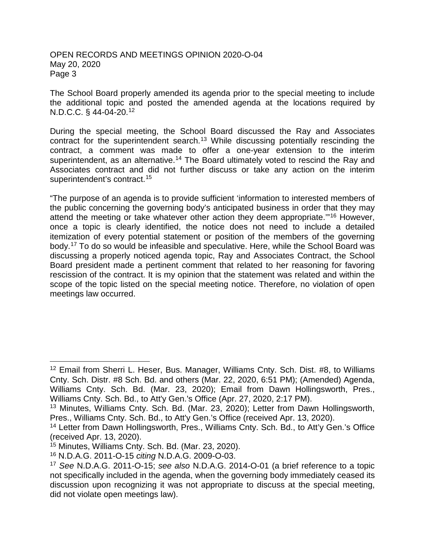### OPEN RECORDS AND MEETINGS OPINION 2020-O-04 May 20, 2020 Page 3

The School Board properly amended its agenda prior to the special meeting to include the additional topic and posted the amended agenda at the locations required by N.D.C.C. § 44-04-20.[12](#page-2-0)

During the special meeting, the School Board discussed the Ray and Associates contract for the superintendent search.<sup>[13](#page-2-1)</sup> While discussing potentially rescinding the contract, a comment was made to offer a one-year extension to the interim superintendent, as an alternative.<sup>[14](#page-2-2)</sup> The Board ultimately voted to rescind the Ray and Associates contract and did not further discuss or take any action on the interim superintendent's contract.<sup>[15](#page-2-3)</sup>

"The purpose of an agenda is to provide sufficient 'information to interested members of the public concerning the governing body's anticipated business in order that they may attend the meeting or take whatever other action they deem appropriate.'"[16](#page-2-4) However, once a topic is clearly identified, the notice does not need to include a detailed itemization of every potential statement or position of the members of the governing body. [17](#page-2-5) To do so would be infeasible and speculative. Here, while the School Board was discussing a properly noticed agenda topic, Ray and Associates Contract, the School Board president made a pertinent comment that related to her reasoning for favoring rescission of the contract. It is my opinion that the statement was related and within the scope of the topic listed on the special meeting notice. Therefore, no violation of open meetings law occurred.

<span id="page-2-0"></span><sup>&</sup>lt;sup>12</sup> Email from Sherri L. Heser, Bus. Manager, Williams Cnty. Sch. Dist. #8, to Williams Cnty. Sch. Distr. #8 Sch. Bd. and others (Mar. 22, 2020, 6:51 PM); (Amended) Agenda, Williams Cnty. Sch. Bd. (Mar. 23, 2020); Email from Dawn Hollingsworth, Pres., Williams Cnty. Sch. Bd., to Att'y Gen.'s Office (Apr. 27, 2020, 2:17 PM).

<span id="page-2-1"></span><sup>13</sup> Minutes, Williams Cnty. Sch. Bd. (Mar. 23, 2020); Letter from Dawn Hollingsworth, Pres., Williams Cnty. Sch. Bd., to Att'y Gen.'s Office (received Apr. 13, 2020).

<span id="page-2-2"></span><sup>&</sup>lt;sup>14</sup> Letter from Dawn Hollingsworth, Pres., Williams Cnty. Sch. Bd., to Att'y Gen.'s Office (received Apr. 13, 2020).

<span id="page-2-3"></span><sup>15</sup> Minutes, Williams Cnty. Sch. Bd. (Mar. 23, 2020).

<span id="page-2-4"></span><sup>16</sup> N.D.A.G. 2011-O-15 *citing* N.D.A.G. 2009-O-03.

<span id="page-2-5"></span><sup>17</sup> *See* N.D.A.G. 2011-O-15; *see also* N.D.A.G. 2014-O-01 (a brief reference to a topic not specifically included in the agenda, when the governing body immediately ceased its discussion upon recognizing it was not appropriate to discuss at the special meeting, did not violate open meetings law).